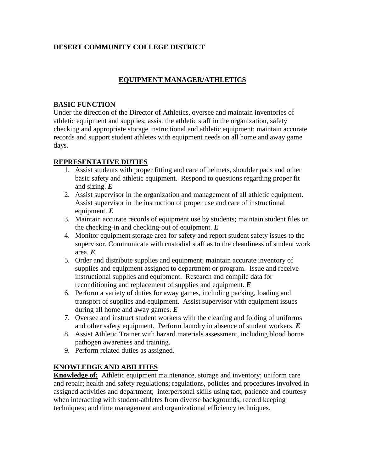# **DESERT COMMUNITY COLLEGE DISTRICT**

### **EQUIPMENT MANAGER/ATHLETICS**

#### **BASIC FUNCTION**

Under the direction of the Director of Athletics, oversee and maintain inventories of athletic equipment and supplies; assist the athletic staff in the organization, safety checking and appropriate storage instructional and athletic equipment; maintain accurate records and support student athletes with equipment needs on all home and away game days.

#### **REPRESENTATIVE DUTIES**

- 1. Assist students with proper fitting and care of helmets, shoulder pads and other basic safety and athletic equipment. Respond to questions regarding proper fit and sizing. *E*
- 2. Assist supervisor in the organization and management of all athletic equipment. Assist supervisor in the instruction of proper use and care of instructional equipment. *E*
- 3. Maintain accurate records of equipment use by students; maintain student files on the checking-in and checking-out of equipment. *E*
- 4. Monitor equipment storage area for safety and report student safety issues to the supervisor. Communicate with custodial staff as to the cleanliness of student work area. *E*
- 5. Order and distribute supplies and equipment; maintain accurate inventory of supplies and equipment assigned to department or program. Issue and receive instructional supplies and equipment. Research and compile data for reconditioning and replacement of supplies and equipment. *E*
- 6. Perform a variety of duties for away games, including packing, loading and transport of supplies and equipment. Assist supervisor with equipment issues during all home and away games. *E*
- 7. Oversee and instruct student workers with the cleaning and folding of uniforms and other safety equipment. Perform laundry in absence of student workers. *E*
- 8. Assist Athletic Trainer with hazard materials assessment, including blood borne pathogen awareness and training.
- 9. Perform related duties as assigned.

#### **KNOWLEDGE AND ABILITIES**

**Knowledge of:** Athletic equipment maintenance, storage and inventory; uniform care and repair; health and safety regulations; regulations, policies and procedures involved in assigned activities and department; interpersonal skills using tact, patience and courtesy when interacting with student-athletes from diverse backgrounds; record keeping techniques; and time management and organizational efficiency techniques.